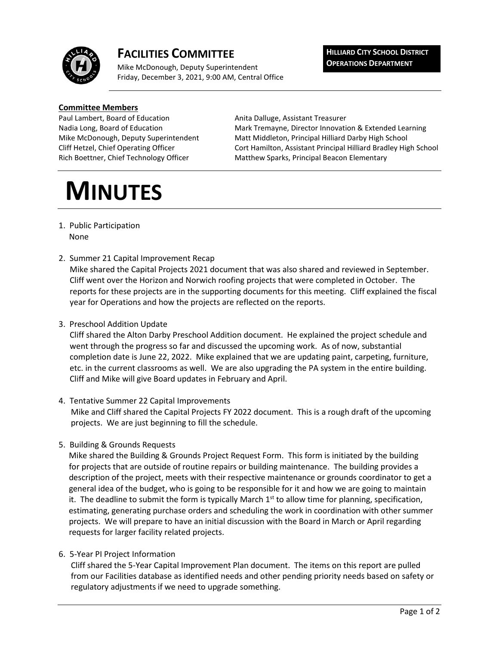

# **FACILITIES COMMITTEE**

Mike McDonough, Deputy Superintendent Friday, December 3, 2021, 9:00 AM, Central Office **HILLIARD CITY SCHOOL DISTRICT OPERATIONS DEPARTMENT**

#### **Committee Members**

Paul Lambert, Board of Education **Anita Dalluge, Assistant Treasurer** 

Nadia Long, Board of Education Mark Tremayne, Director Innovation & Extended Learning Mike McDonough, Deputy Superintendent Matt Middleton, Principal Hilliard Darby High School Cliff Hetzel, Chief Operating Officer Cort Hamilton, Assistant Principal Hilliard Bradley High School Rich Boettner, Chief Technology Officer Matthew Sparks, Principal Beacon Elementary

# **MINUTES**

- 1. Public Participation None
- 2. Summer 21 Capital Improvement Recap

Mike shared the Capital Projects 2021 document that was also shared and reviewed in September. Cliff went over the Horizon and Norwich roofing projects that were completed in October. The reports for these projects are in the supporting documents for this meeting. Cliff explained the fiscal year for Operations and how the projects are reflected on the reports.

3. Preschool Addition Update

Cliff shared the Alton Darby Preschool Addition document. He explained the project schedule and went through the progress so far and discussed the upcoming work. As of now, substantial completion date is June 22, 2022. Mike explained that we are updating paint, carpeting, furniture, etc. in the current classrooms as well. We are also upgrading the PA system in the entire building. Cliff and Mike will give Board updates in February and April.

#### 4. Tentative Summer 22 Capital Improvements

 Mike and Cliff shared the Capital Projects FY 2022 document. This is a rough draft of the upcoming projects. We are just beginning to fill the schedule.

5. Building & Grounds Requests

 Mike shared the Building & Grounds Project Request Form. This form is initiated by the building for projects that are outside of routine repairs or building maintenance. The building provides a description of the project, meets with their respective maintenance or grounds coordinator to get a general idea of the budget, who is going to be responsible for it and how we are going to maintain it. The deadline to submit the form is typically March  $1<sup>st</sup>$  to allow time for planning, specification, estimating, generating purchase orders and scheduling the work in coordination with other summer projects. We will prepare to have an initial discussion with the Board in March or April regarding requests for larger facility related projects.

6. 5-Year PI Project Information

 Cliff shared the 5-Year Capital Improvement Plan document. The items on this report are pulled from our Facilities database as identified needs and other pending priority needs based on safety or regulatory adjustments if we need to upgrade something.